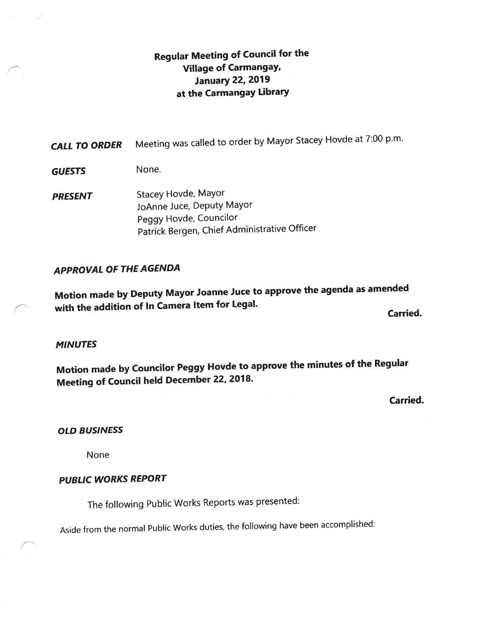# Regular Meeting of Council for the Village of Carmangay, January 22, 2019 at the Carmangay Library

CALL TO ORDER Meeting was called to order by Mayor Stacey Hovde at 7:00 p.m.

GUESTS None.

PRESENT Stacey Hovde, Mayor JoAnne Juce, Deputy Mayor Peggy Hovde, Councilor Patrick Bergen, Chief Administrative Officer

## APPROVAL OF THE AGENDA

Motion made by Deputy Mayor Joanne Juce to approve the agenda as amended with the addition of In Camera Item for Legal.

Carried.

## MINUTES

Motion made by Councilor Peggy Hovde to approve the minutes of the Regular Meeting of Council held December 22, 2018.

Carried.

### OLD BUSINESS

None

## PUBLIC WORKS REPORT

The following Public Works Reports was presented:

Aside from the normal Public Works duties, the following have been accomplished: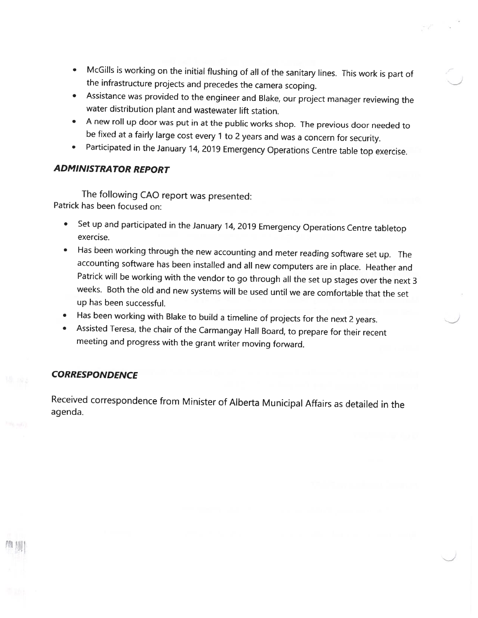- • McGills is working on the initial flushing of all of the sanitary lines. This work is part of the infrastructure projects and precedes the camera scoping.
- Assistance was provided to the engineer and Blake, our project manager reviewing the water distribution <sup>p</sup>lant and wastewater lift station.
- A new roll up door was put in at the public works shop. The previous door needed to be fixed at <sup>a</sup> fairly large cost every <sup>1</sup> to <sup>2</sup> years and was <sup>a</sup> concern for security.
- •Participated in the January 14, <sup>2019</sup> Emergency Operations Centre table top exercise.

## ADMINISTRATOR REPORT

The following CAO report was presented: Patrick has been focused on:

- • Set up and participated in the January 14, <sup>2019</sup> Emergency Operations Centre tabletop exercise.
- • Has been working through the new accounting and meter reading software set up. The accounting software has been installed and all new computers are in <sup>p</sup>lace. Heather and Patrick will be working with the vendor to go through all the set up stages over the next <sup>3</sup> weeks. Both the old and new systems will be used until we are comfortable that the set up has been successful.
- •Has been working with Blake to build <sup>a</sup> timeline of projects for the next <sup>2</sup> years.
- • Assisted Teresa, the chair of the Carmangay Hall Board, to prepare for their recent meeting and progress with the grant writer moving forward.

## **CORRESPONDENCE**

Received correspondence from Minister of Alberta Municipal Affairs as detailed in the agenda.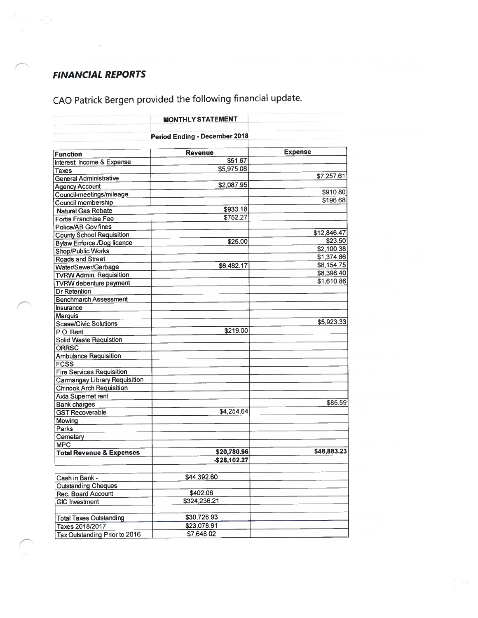## FINANCIAL REPORTS

 $\frac{11}{32}$ 

 $\omega_{\rm{c}}=-\frac{\sqrt{2}}{2}$ 

CAO Patrick Bergen provided the following financial update.

|                                     | <b>MONTHLY STATEMENT</b>             |                |
|-------------------------------------|--------------------------------------|----------------|
|                                     | <b>Period Ending - December 2018</b> |                |
| <b>Function</b>                     | <b>Revenue</b>                       | <b>Expense</b> |
| Interest: Income & Expense          | \$51.67                              |                |
| Taxes                               | \$5,975.08                           |                |
| General Administrative              |                                      | \$7,257.61     |
| <b>Agency Account</b>               | \$2,087.95                           |                |
| Council-meetings/mileage            |                                      | \$910.80       |
| Council membership                  |                                      | \$196.68       |
| Natural Gas Rebate                  | \$933.18                             |                |
| Fortis Franchise Fee                | \$752.27                             |                |
| Police/AB Gov fines                 |                                      |                |
|                                     |                                      | \$12,846.47    |
| <b>County School Requisition</b>    | \$25.00                              | \$23.50        |
| <b>Bylaw Enforce /Dog licence</b>   |                                      | \$2,100.38     |
| Shop/Public Works                   |                                      | \$1,374.86     |
| <b>Roads and Street</b>             | \$6,482.17                           | \$8,154.75     |
| Water/Sewer/Garbage                 |                                      | \$8,398.40     |
| <b>TVRW Admin. Requisition</b>      |                                      | \$1,610.86     |
| <b>TVRW</b> debenture payment       |                                      |                |
| Dr Retention                        |                                      |                |
| <b>Benchmarch Assessment</b>        |                                      |                |
| <b>Insurance</b>                    |                                      |                |
| Marquis                             |                                      |                |
| Scase/Civic Solutions               |                                      | \$5,923.33     |
| P.O. Rent                           | \$219.00                             |                |
| <b>Solid Waste Requistion</b>       |                                      |                |
| ORRSC                               |                                      |                |
| <b>Ambulance Requisition</b>        |                                      |                |
| <b>FCSS</b>                         |                                      |                |
| <b>Fire Services Requisition</b>    |                                      |                |
| <b>Camangay Library Requisition</b> |                                      |                |
| Chinook Arch Requisition            |                                      |                |
| Axia Supernet rent                  |                                      |                |
| <b>Bank</b> charges                 |                                      | \$85.59        |
| <b>GST Recoverable</b>              | \$4,254.64                           |                |
| Mowing                              |                                      |                |
| Parks                               |                                      |                |
| Cemetary                            |                                      |                |
| <b>MPC</b>                          |                                      |                |
| <b>Total Revenue &amp; Expenses</b> | \$20,780.96                          | \$48,883.23    |
|                                     | $-$ \$28,102.27                      |                |
| Cash in Bank -                      | \$44,392.60                          |                |
| <b>Outstanding Cheques</b>          |                                      |                |
| Rec. Board Account                  | \$402.06                             |                |
| <b>GIC</b> Investment               | \$324,236.21                         |                |
|                                     |                                      |                |
| <b>Total Taxes Outstanding</b>      | \$30,726.93                          |                |
| Taxes 2018/2017                     | \$23,078.91                          |                |
| Tax Outstanding Prior to 2016       | \$7,648.02                           |                |
|                                     |                                      |                |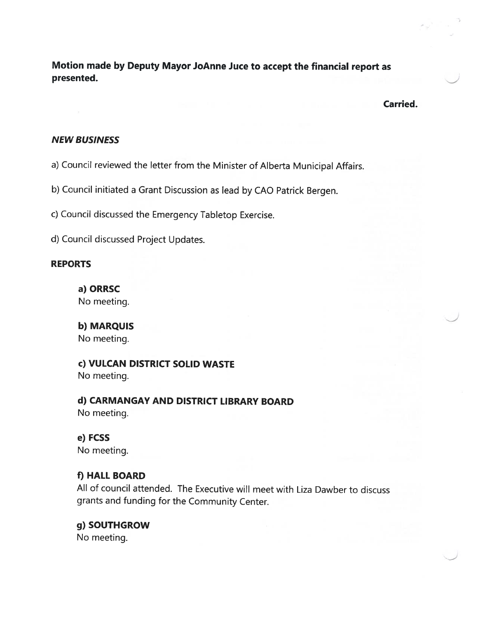Motion made by Deputy Mayor JoAnne Juce to accept the financial report as presented.

Carried.

#### NEW BUSINESS

a) Council reviewed the letter from the Minister of Alberta Municipal Affairs.

b) Council initiated <sup>a</sup> Grant Discussion as lead by CAO Patrick Bergen.

c) Council discussed the Emergency Tabletop Exercise.

d) Council discussed Project Updates.

#### REPORTS

a) ORRSC No meeting.

b) MARQUIS No meeting.

c) VULCAN DISTRICT SOLID WASTE No meeting.

d) CARMANGAY AND DISTRICT LIBRARY BOARD No meeting.

e) FCSS No meeting.

#### f) HALL BOARD

All of council attended. The Executive will meet with Liza Dawber to discuss grants and funding for the Community Center.

# g) SOUTHGROW

No meeting.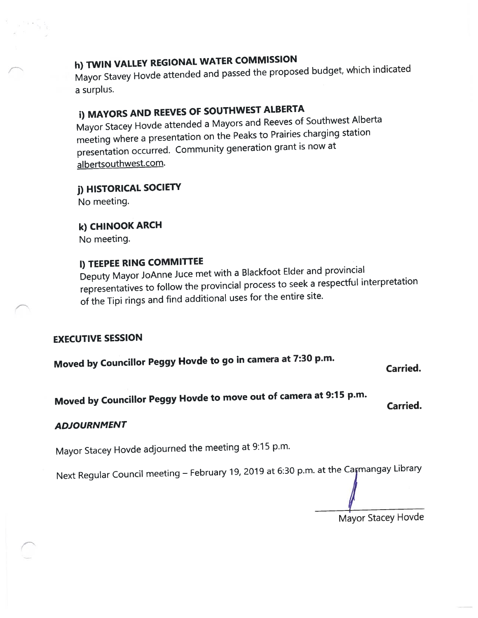# h) TWIN VALLEY REGIONAL WATER COMMISSION

Mayor Stavey Hovde attended and passe<sup>d</sup> the propose<sup>d</sup> budget, which indicated <sup>a</sup> surplus.

# i) MAYORS AND REEVES OF SOUTHWEST ALBERTA

Mayor Stacey Hovde attended <sup>a</sup> Mayors and Reeves of Southwest Alberta meeting where <sup>a</sup> presentation on the Peaks to Prairies charging station presentation occurred. Community generation gran<sup>t</sup> is now at albertsouthwest.com.

# j) HISTORICAL SOCIETY

No meeting.

# k) CHINOOK ARCH

No meeting.

# I) TEEPEE RING COMMITTEE

Deputy Mayor JoAnne Juce met with <sup>a</sup> Blackfoot Elder and provincial representatives to follow the provincial process to seek <sup>a</sup> respectful interpretation of the Tipi rings and find additional uses for the entire site.

## EXECUTIVE SESSION

Moved by Councillor Peggy Hovde to go in camera at 7:30 p.m.

Carried.

Moved by Councillor Peggy Hovde to move out of camera at 9:15 p.m.

Carried.

## ADJOURNMENT

Mayor Stacey Hovde adjourned the meeting at 9:15 p.m.

Next Regular Council meeting - February 19, 2019 at 6:30 p.m. at the Carmangay Library

Mayor Stacey Hovde